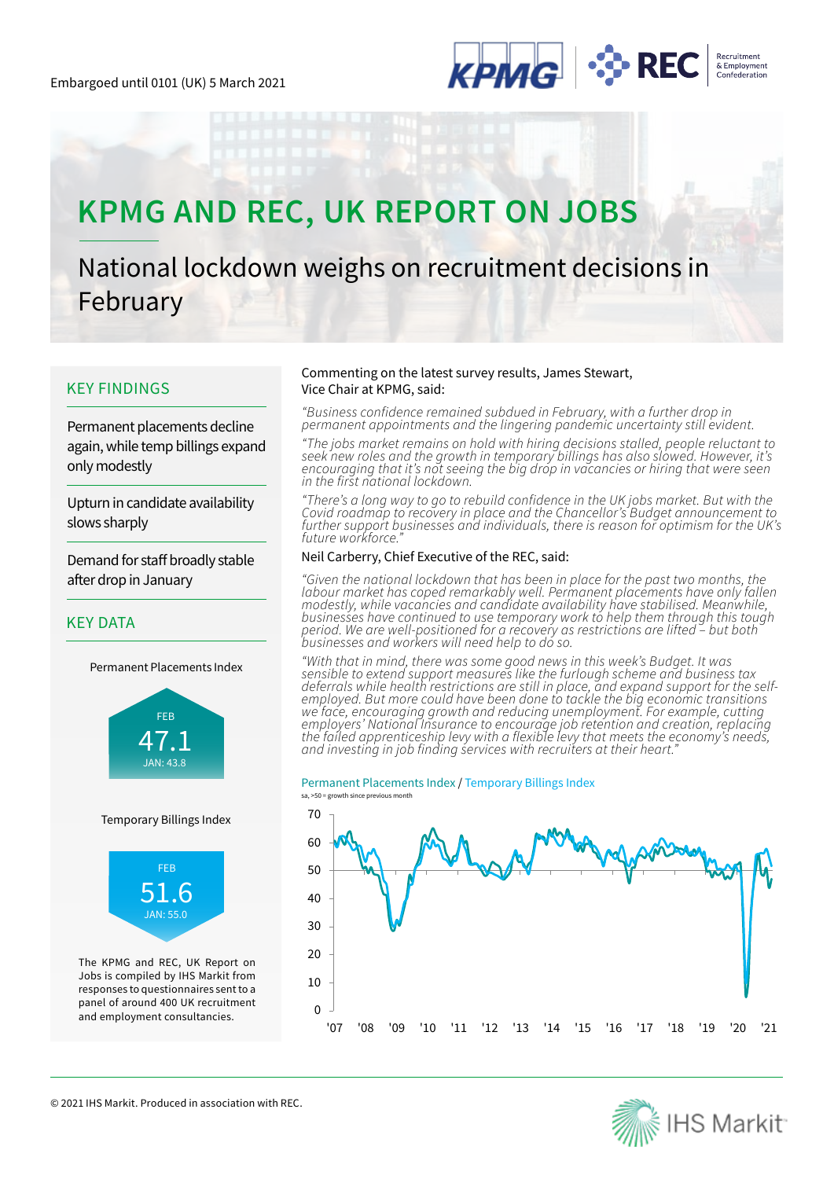

# **KPMG AND REC, UK REPORT ON JOBS**

# National lockdown weighs on recruitment decisions in February

## KEY FINDINGS

Permanent placements decline again, while temp billings expand only modestly

Upturn in candidate availability slows sharply

Demand for staff broadly stable after drop in January

## KEY DATA

Permanent Placements Index



## Temporary Billings Index



The KPMG and REC, UK Report on Jobs is compiled by IHS Markit from responses to questionnaires sent to a panel of around 400 UK recruitment and employment consultancies.

## Commenting on the latest survey results, James Stewart, Vice Chair at KPMG, said:

*"Business confidence remained subdued in February, with a further drop in permanent appointments and the lingering pandemic uncertainty still evident.*

*"The jobs market remains on hold with hiring decisions stalled, people reluctant to seek new roles and the growth in temporary billings has also slowed. However, it's encouraging that it's not seeing the big drop in vacancies or hiring that were seen in the first national lockdown.*

*"There's a long way to go to rebuild confidence in the UK jobs market. But with the Covid roadmap to recovery in place and the Chancellor's Budget announcement to further support businesses and individuals, there is reason for optimism for the UK's future workforce."*

## Neil Carberry, Chief Executive of the REC, said:

*"Given the national lockdown that has been in place for the past two months, the*  labour market has coped remarkably well. Permanent placements have only fallen *modestly, while vacancies and candidate availability have stabilised. Meanwhile, businesses have continued to use temporary work to help them through this tough period. We are well-positioned for a recovery as restrictions are lifted – but both businesses and workers will need help to do so.*

*"With that in mind, there was some good news in this week's Budget. It was sensible to extend support measures like the furlough scheme and business tax deferrals while health restrictions are still in place, and expand support for the selfemployed. But more could have been done to tackle the big economic transitions we face, encouraging growth and reducing unemployment. For example, cutting employers' National Insurance to encourage job retention and creation, replacing the failed apprenticeship levy with a flexible levy that meets the economy's needs, and investing in job finding services with recruiters at their heart."*

## Permanent Placements Index / Temporary Billings Index



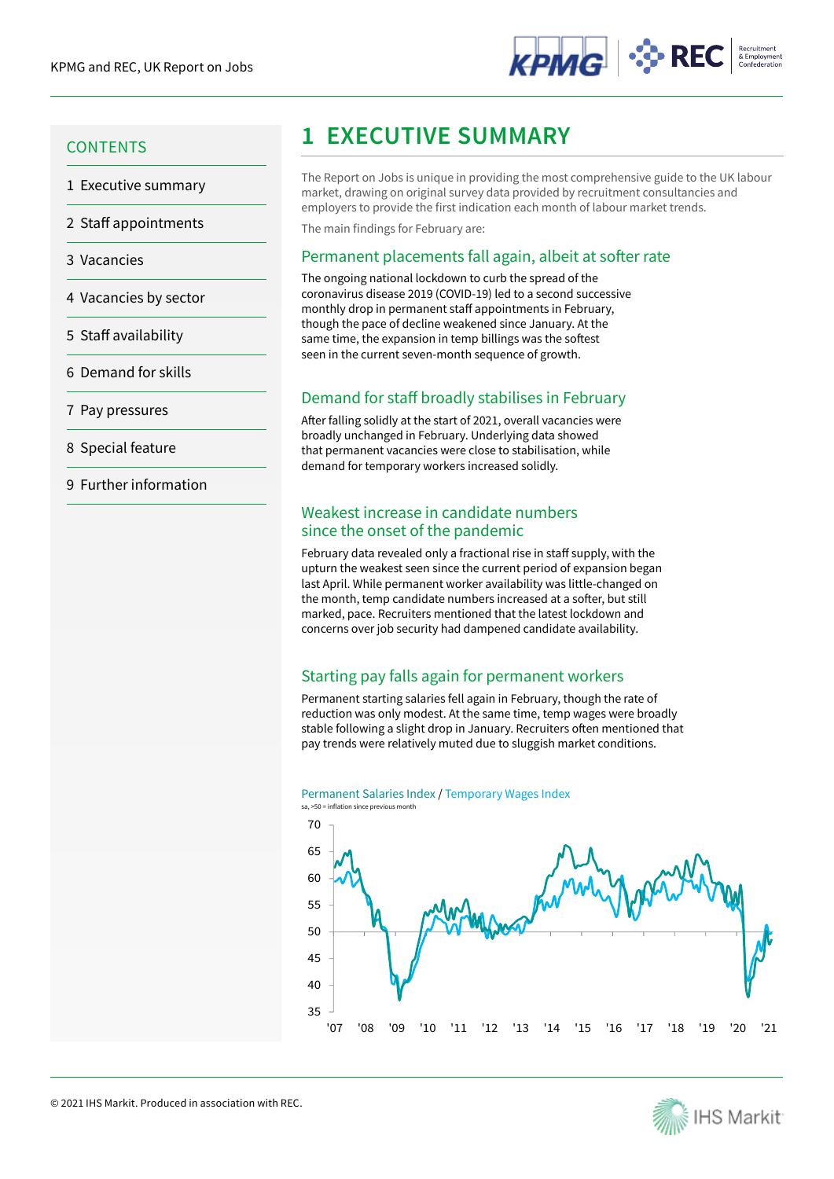

- 1 Executive summary
- 2 Staff appointments
- 3 Vacancies
- 4 Vacancies by sector
- 5 Staff availability
- 6 Demand for skills
- 7 Pay pressures
- 8 Special feature
- 9 Further information

# **1 EXECUTIVE SUMMARY 1 EXECUTIVE SUMMARY**

The Report on Jobs is unique in providing the most comprehensive guide to the UK labour market, drawing on original survey data provided by recruitment consultancies and employers to provide the first indication each month of labour market trends.

The main findings for February are:

## Permanent placements fall again, albeit at softer rate

The ongoing national lockdown to curb the spread of the coronavirus disease 2019 (COVID-19) led to a second successive monthly drop in permanent staff appointments in February, though the pace of decline weakened since January. At the same time, the expansion in temp billings was the softest seen in the current seven-month sequence of growth.

## Demand for staff broadly stabilises in February

After falling solidly at the start of 2021, overall vacancies were broadly unchanged in February. Underlying data showed that permanent vacancies were close to stabilisation, while demand for temporary workers increased solidly.

## Weakest increase in candidate numbers since the onset of the pandemic

February data revealed only a fractional rise in staff supply, with the upturn the weakest seen since the current period of expansion began last April. While permanent worker availability was little-changed on the month, temp candidate numbers increased at a softer, but still marked, pace. Recruiters mentioned that the latest lockdown and concerns over job security had dampened candidate availability.

## Starting pay falls again for permanent workers

Permanent starting salaries fell again in February, though the rate of reduction was only modest. At the same time, temp wages were broadly stable following a slight drop in January. Recruiters often mentioned that pay trends were relatively muted due to sluggish market conditions.



#### Permanent Salaries Index / Temporary Wages Index sa, >50 = inflation since previous month

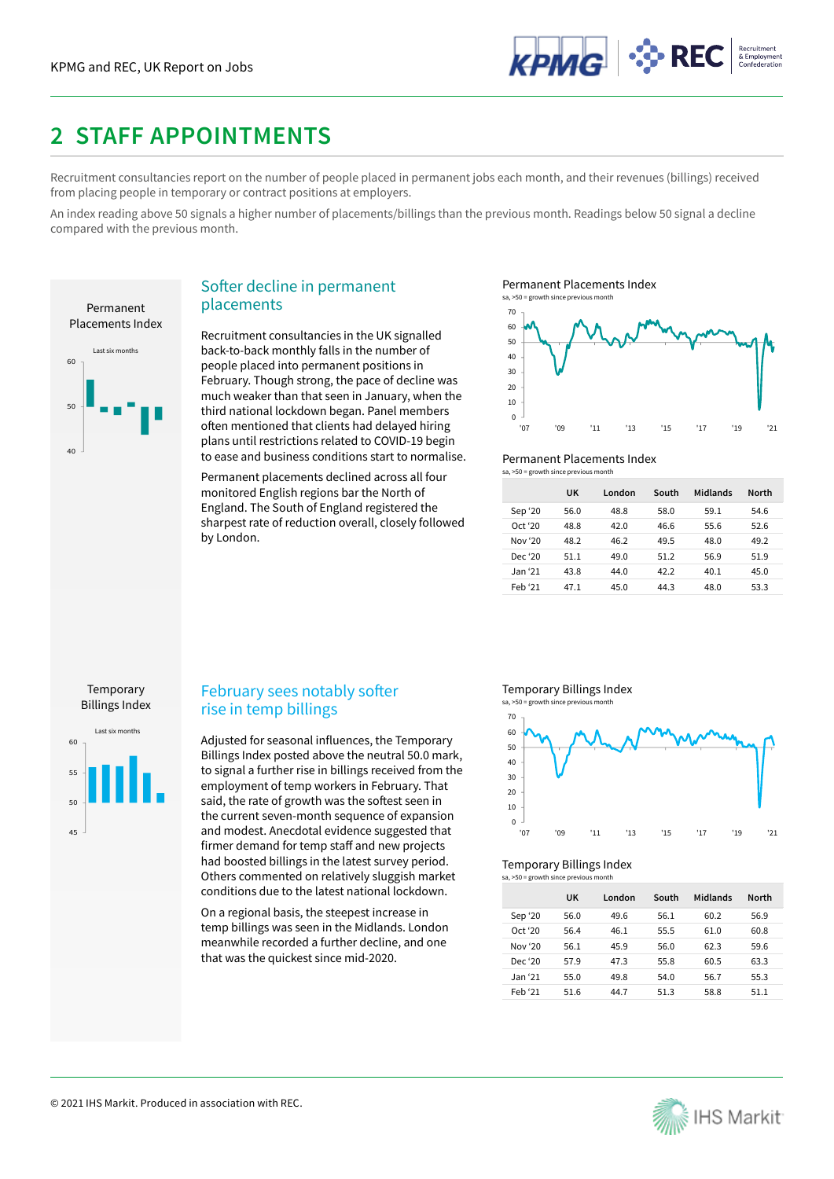

## **2 STAFF APPOINTMENTS**

Recruitment consultancies report on the number of people placed in permanent jobs each month, and their revenues (billings) received from placing people in temporary or contract positions at employers.

An index reading above 50 signals a higher number of placements/billings than the previous month. Readings below 50 signal a decline compared with the previous month.



## Softer decline in permanent placements

Recruitment consultancies in the UK signalled back-to-back monthly falls in the number of people placed into permanent positions in February. Though strong, the pace of decline was much weaker than that seen in January, when the third national lockdown began. Panel members often mentioned that clients had delayed hiring plans until restrictions related to COVID-19 begin to ease and business conditions start to normalise.

Permanent placements declined across all four monitored English regions bar the North of England. The South of England registered the sharpest rate of reduction overall, closely followed by London.

Permanent Placements Index<br>sa, >50 = growth since previous month



## Permanent Placements Index

 $sa. > 50$  = growth since previous  $m$ 

|         | UK   | London | South | Midlands | <b>North</b> |
|---------|------|--------|-------|----------|--------------|
| Sep '20 | 56.0 | 48.8   | 58.0  | 59.1     | 54.6         |
| Oct '20 | 48.8 | 42.0   | 46.6  | 55.6     | 52.6         |
| Nov '20 | 48.2 | 46.2   | 49.5  | 48.0     | 49.2         |
| Dec '20 | 51.1 | 49.0   | 51.2  | 56.9     | 51.9         |
| Jan '21 | 43.8 | 44.0   | 42.2  | 40.1     | 45.0         |
| Feb '21 | 47.1 | 45.0   | 44.3  | 48.0     | 53.3         |

## Temporary Billings Index



## February sees notably softer rise in temp billings

Adjusted for seasonal influences, the Temporary Billings Index posted above the neutral 50.0 mark, to signal a further rise in billings received from the employment of temp workers in February. That said, the rate of growth was the softest seen in the current seven-month sequence of expansion and modest. Anecdotal evidence suggested that firmer demand for temp staff and new projects had boosted billings in the latest survey period. Others commented on relatively sluggish market conditions due to the latest national lockdown.

On a regional basis, the steepest increase in temp billings was seen in the Midlands. London meanwhile recorded a further decline, and one that was the quickest since mid-2020.

## Temporary Billings Index



## Temporary Billings Index

| sa, >50 = growth since previous month |      |        |       |          |              |  |  |  |
|---------------------------------------|------|--------|-------|----------|--------------|--|--|--|
|                                       | UK   | London | South | Midlands | <b>North</b> |  |  |  |
| Sep '20                               | 56.0 | 49.6   | 56.1  | 60.2     | 56.9         |  |  |  |
| Oct '20                               | 56.4 | 46.1   | 55.5  | 61.0     | 60.8         |  |  |  |
| Nov '20                               | 56.1 | 45.9   | 56.0  | 62.3     | 59.6         |  |  |  |
| Dec '20                               | 57.9 | 47.3   | 55.8  | 60.5     | 63.3         |  |  |  |
| Jan '21                               | 55.0 | 49.8   | 54.0  | 56.7     | 55.3         |  |  |  |
| Feb '21                               | 51.6 | 44.7   | 51.3  | 58.8     | 51.1         |  |  |  |

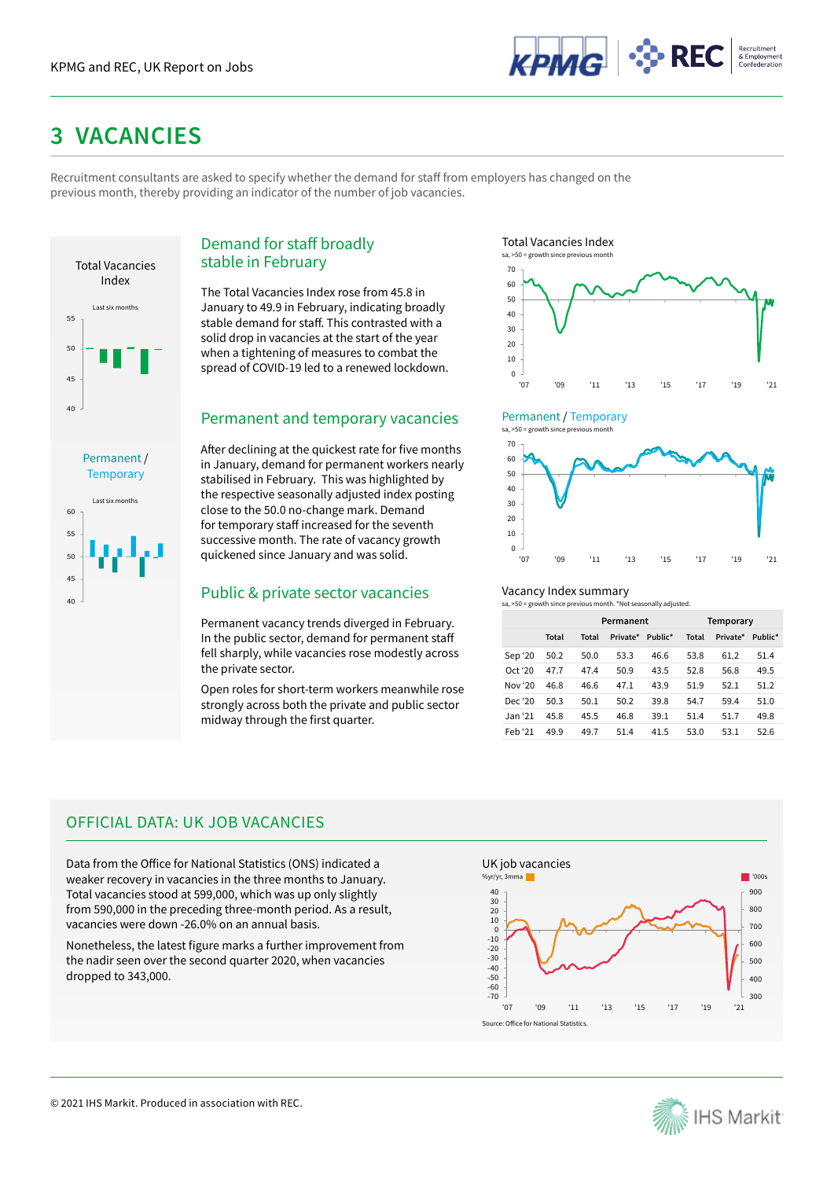

## **3 VACANCIES**

Recruitment consultants are asked to specify whether the demand for staff from employers has changed on the previous month, thereby providing an indicator of the number of job vacancies.



Last six months

Permanent / **Temporary** 

## Demand for staff broadly stable in February

The Total Vacancies Index rose from 45.8 in January to 49.9 in February, indicating broadly stable demand for staff. This contrasted with a solid drop in vacancies at the start of the year when a tightening of measures to combat the spread of COVID-19 led to a renewed lockdown.

## Permanent and temporary vacancies

After declining at the quickest rate for five months in January, demand for permanent workers nearly stabilised in February. This was highlighted by the respective seasonally adjusted index posting close to the 50.0 no-change mark. Demand for temporary staff increased for the seventh successive month. The rate of vacancy growth quickened since January and was solid.

## $\begin{array}{c|c} \text{public & \text{private} \text{sector} \text{vacancies} & \text{Vacancy Index summary} \\\hline \text{so } & \text{source} \text{growth} \text{since previous month. "Not seasonally adjusted to be a specific value of the image.} \end{array}$

Permanent vacancy trends diverged in February. In the public sector, demand for permanent staff fell sharply, while vacancies rose modestly across the private sector.

Open roles for short-term workers meanwhile rose strongly across both the private and public sector midway through the first quarter.





## Permanent / Temporary



## Vacancy Index summary

|                     |       | Permanent |          |         |       | Temporary |         |
|---------------------|-------|-----------|----------|---------|-------|-----------|---------|
|                     | Total | Total     | Private* | Public* | Total | Private*  | Public* |
| Sep '20             | 50.2  | 50.0      | 53.3     | 46.6    | 53.8  | 61.2      | 51.4    |
| Oct <sup>4</sup> 20 | 47.7  | 47.4      | 50.9     | 43.5    | 52.8  | 56.8      | 49.5    |
| Nov '20             | 46.8  | 46.6      | 47.1     | 43.9    | 51.9  | 52.1      | 51.2    |
| Dec '20             | 50.3  | 50.1      | 50.2     | 39.8    | 54.7  | 59.4      | 51.0    |
| Jan '21             | 45.8  | 45.5      | 46.8     | 39.1    | 51.4  | 51.7      | 49.8    |
| Feb '21             | 49.9  | 49.7      | 51.4     | 41.5    | 53.0  | 53.1      | 52.6    |

## OFFICIAL DATA: UK JOB VACANCIES

Data from the Office for National Statistics (ONS) indicated a weaker recovery in vacancies in the three months to January. Total vacancies stood at 599,000, which was up only slightly from 590,000 in the preceding three-month period. As a result, vacancies were down -26.0% on an annual basis.

Nonetheless, the latest figure marks a further improvement from the nadir seen over the second quarter 2020, when vacancies dropped to 343,000.



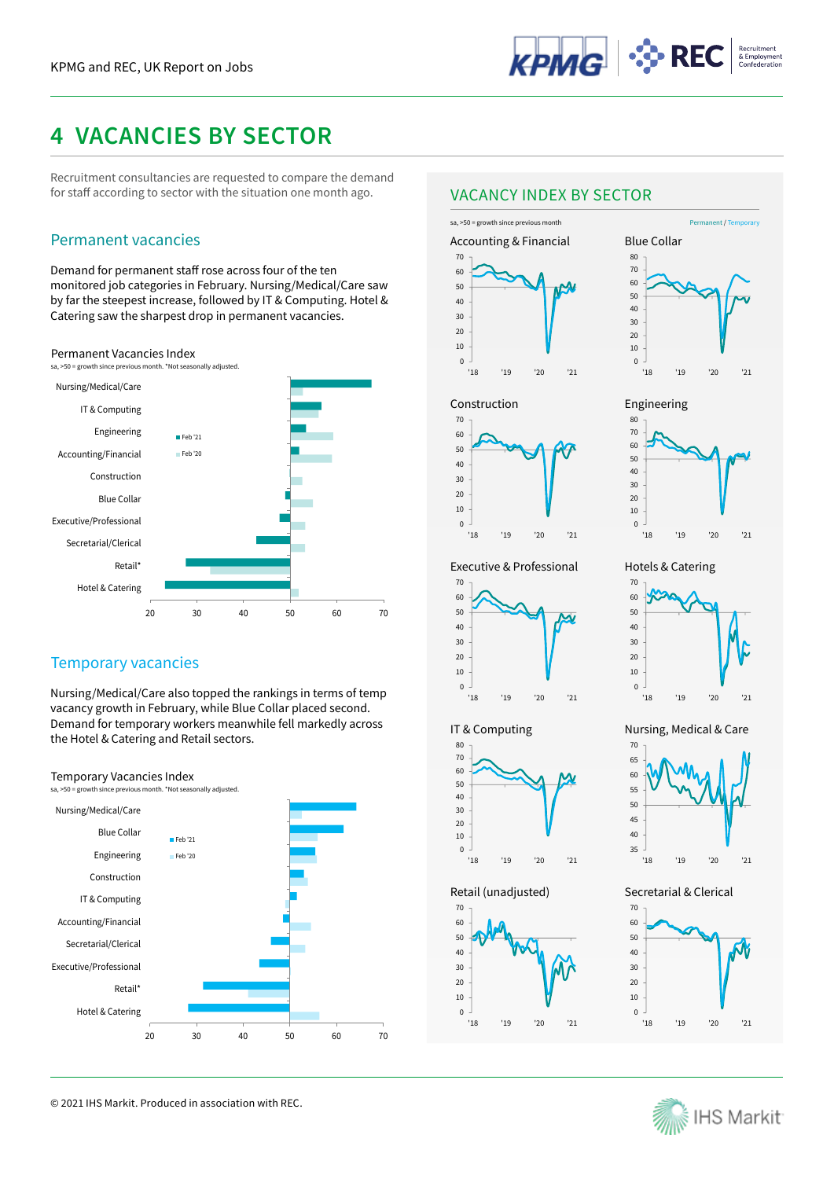

## **4 VACANCIES BY SECTOR**

Recruitment consultancies are requested to compare the demand for staff according to sector with the situation one month ago.

## Permanent vacancies Accounting & Financial

Demand for permanent staff rose across four of the ten monitored job categories in February. Nursing/Medical/Care saw by far the steepest increase, followed by IT & Computing. Hotel & Catering saw the sharpest drop in permanent vacancies.







## Temporary vacancies

Nursing/Medical/Care also topped the rankings in terms of temp vacancy growth in February, while Blue Collar placed second. Demand for temporary workers meanwhile fell markedly across the Hotel & Catering and Retail sectors.

## Temporary Vacancies Index



© 2021 IHS Markit. Produced in association with REC.

## VACANCY INDEX BY SECTOR











Hotels & Catering

Engineering



## Executive & Professional



IT & Computing

'18 '19 '20 '21

Retail (unadjusted)





## Nursing, Medical & Care



## Secretarial & Clerical



30 40 50 60 70

'18 '19 '20 '21

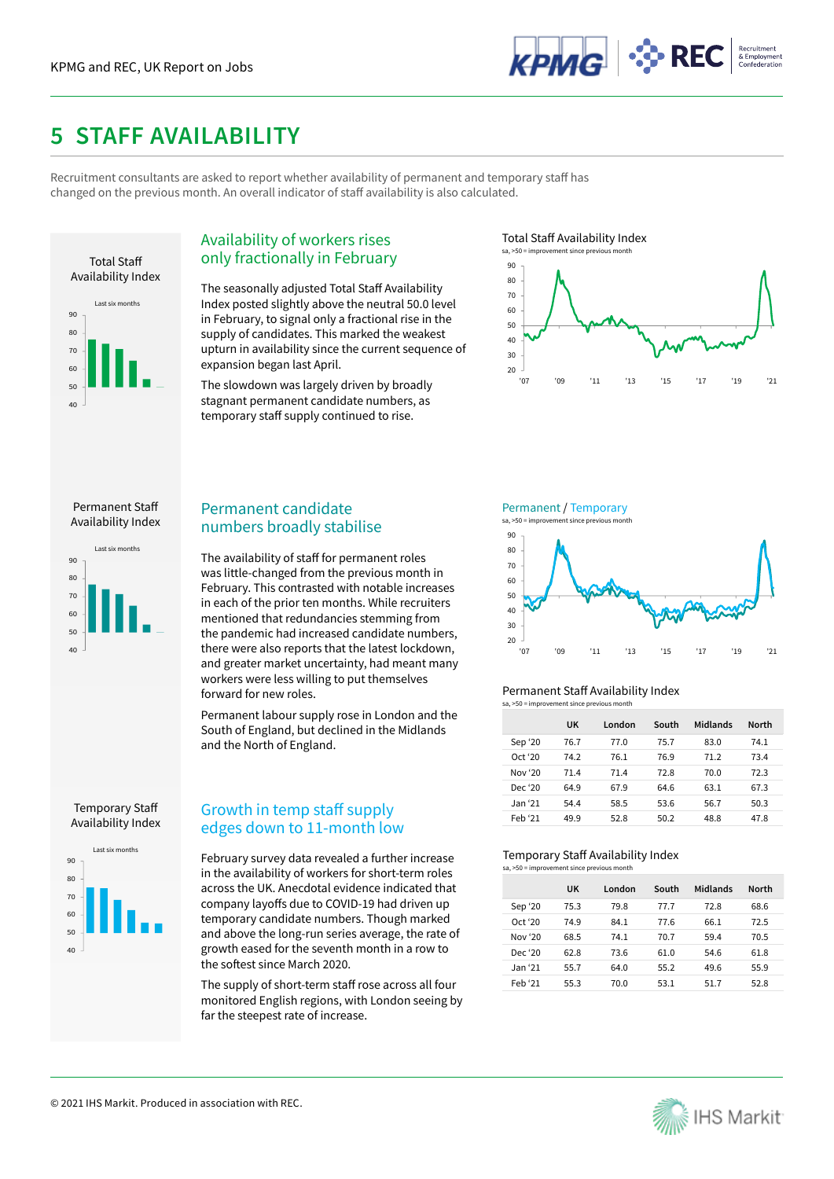

## **5 STAFF AVAILABILITY**

Recruitment consultants are asked to report whether availability of permanent and temporary staff has changed on the previous month. An overall indicator of staff availability is also calculated.



## Availability of workers rises only fractionally in February

The seasonally adjusted Total Staff Availability Index posted slightly above the neutral 50.0 level in February, to signal only a fractional rise in the supply of candidates. This marked the weakest upturn in availability since the current sequence of expansion began last April.

The slowdown was largely driven by broadly stagnant permanent candidate numbers, as temporary staff supply continued to rise.





## Permanent Staff Availability Index



## Permanent candidate numbers broadly stabilise

The availability of staff for permanent roles was little-changed from the previous month in February. This contrasted with notable increases in each of the prior ten months. While recruiters mentioned that redundancies stemming from the pandemic had increased candidate numbers, there were also reports that the latest lockdown, and greater market uncertainty, had meant many workers were less willing to put themselves forward for new roles.

Permanent labour supply rose in London and the South of England, but declined in the Midlands and the North of England.

## Temporary Staff Availability Index



## Growth in temp staff supply edges down to 11-month low

February survey data revealed a further increase in the availability of workers for short-term roles across the UK. Anecdotal evidence indicated that company layoffs due to COVID-19 had driven up temporary candidate numbers. Though marked and above the long-run series average, the rate of growth eased for the seventh month in a row to the softest since March 2020.

The supply of short-term staff rose across all four monitored English regions, with London seeing by far the steepest rate of increase.

Permanent / Temporary

 $sa$ ,  $>50$  = improvement since previous month



#### Permanent Staff Availability Index sa, >50 = improvement since previous month

|         | UK   | I ondon | South | Midlands | <b>North</b> |
|---------|------|---------|-------|----------|--------------|
| Sep '20 | 76.7 | 77.0    | 75.7  | 83.0     | 74.1         |
| Oct '20 | 74.2 | 76.1    | 76.9  | 71.2     | 73.4         |
| Nov '20 | 71.4 | 71.4    | 72.8  | 70.0     | 72.3         |
| Dec '20 | 64.9 | 67.9    | 64.6  | 63.1     | 67.3         |
| Jan '21 | 54.4 | 58.5    | 53.6  | 56.7     | 50.3         |
| Feb '21 | 49.9 | 52.8    | 50.2  | 48.8     | 47.8         |

## Temporary Staff Availability Index

| sa, >50 = improvement since previous month |      |        |       |          |              |  |  |
|--------------------------------------------|------|--------|-------|----------|--------------|--|--|
|                                            | UK   | London | South | Midlands | <b>North</b> |  |  |
| Sep '20                                    | 75.3 | 79.8   | 77.7  | 72.8     | 68.6         |  |  |
| Oct '20                                    | 74.9 | 84.1   | 77.6  | 66.1     | 72.5         |  |  |
| Nov '20                                    | 68.5 | 74.1   | 70.7  | 59.4     | 70.5         |  |  |
| Dec '20                                    | 62.8 | 73.6   | 61.0  | 54.6     | 61.8         |  |  |
| Jan '21                                    | 55.7 | 64.0   | 55.2  | 49.6     | 55.9         |  |  |
| Feb '21                                    | 55.3 | 70.0   | 53.1  | 51.7     | 52.8         |  |  |

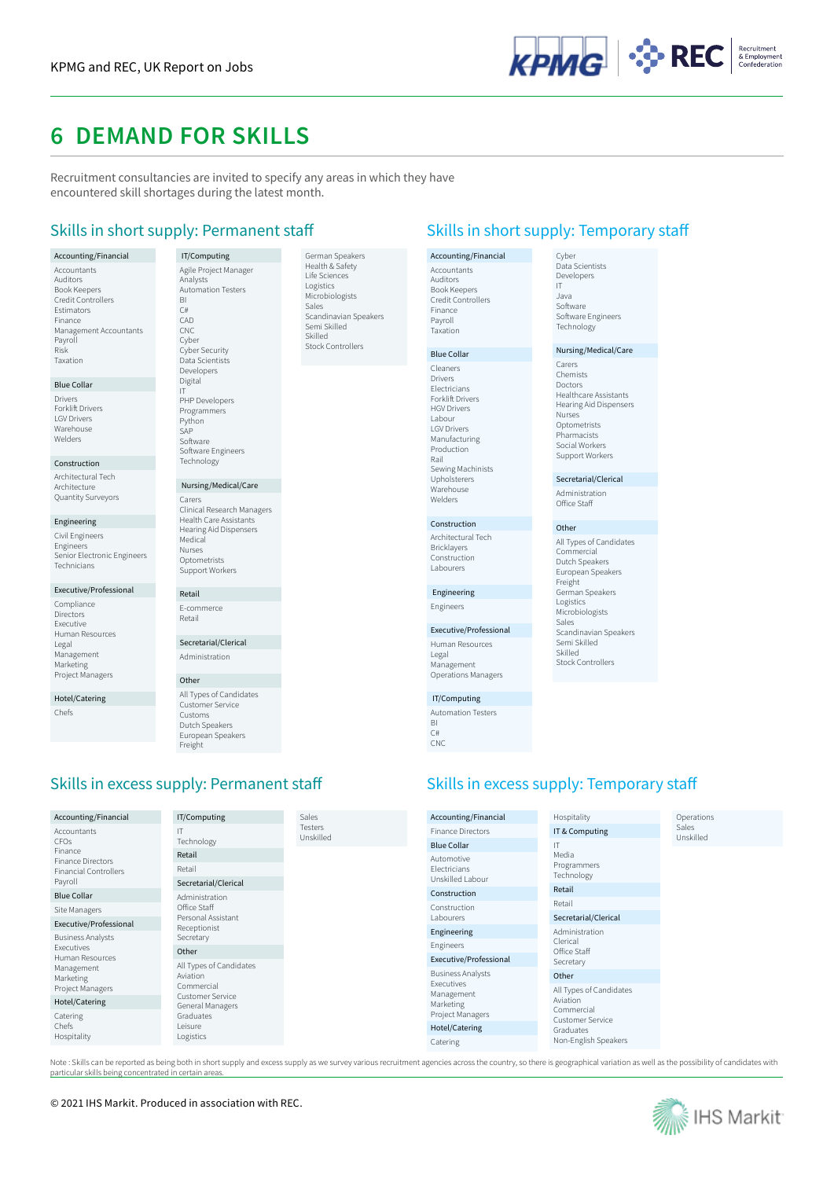

## **6 DEMAND FOR SKILLS**

Recruitment consultancies are invited to specify any areas in which they have encountered skill shortages during the latest month.

> German Speakers Health & Safety Life Sciences Logistics Microbiologists nic<br>Sales

Scandinavian Speakers Semi Skilled Skilled Stock Controllers

#### Accounting/Financial Accountants Auditors Book Keepers Credit Controllers Estimators Finance Management Accountants Payroll Risk Taxation

#### Blue Collar

Drivers Forklift Drivers LGV Drivers Warehouse Welders

#### Construction

Architectural Tech **Architecture** Quantity Surveyors

### Engineering

Civil Engineers Engineers Senior Electronic Engineers Technicians

## Executive/Professional

Compliance Directors Executive Human Resources Legal Management Marketing Project Managers

Hotel/Catering Chefs

 IT/Computing Agile Project Manager Analysts Automation Testers BI C# CAD C<sub>NC</sub> Cyber Cyber Security Data Scientists Developers Digital IT PHP Developers Programmers Python SAP Software Software Engineers Technology

 Nursing/Medical/Care Carers Clinical Research Managers Health Care Assistants Hearing Aid Dispensers Medical Nurses **Optometrists** Support Workers

## E-commerce Retail

Secretarial/Clerical Administration

## Other

Retail

All Types of Candidates Customer Service Customs Dutch Speakers European Speakers Freight

## Skills in excess supply: Permanent staff Skills in excess supply: Temporary staff

| Accounting/Financial                        | IT/Computing                                      | Sales                       |
|---------------------------------------------|---------------------------------------------------|-----------------------------|
| Accountants<br>CFOs                         | IT<br>Technology                                  | <b>Testers</b><br>Unskilled |
| Finance<br><b>Finance Directors</b>         | Retail                                            |                             |
| <b>Financial Controllers</b>                | Retail                                            |                             |
| Payroll                                     | Secretarial/Clerical                              |                             |
| <b>Blue Collar</b>                          | Administration                                    |                             |
| Site Managers                               | Office Staff                                      |                             |
| Executive/Professional                      | Personal Assistant<br>Receptionist                |                             |
| <b>Business Analysts</b>                    | Secretary                                         |                             |
| Executives<br>Human Resources               | Other                                             |                             |
| Management<br>Marketing<br>Project Managers | All Types of Candidates<br>Aviation<br>Commercial |                             |
| Hotel/Catering                              | <b>Customer Service</b><br>General Managers       |                             |
| Catering<br>Chefs<br>Hospitality            | Graduates<br>Leisure<br>Logistics                 |                             |
|                                             |                                                   |                             |

Skills in short supply: Permanent staff Skills in short supply: Temporary staff

Cyber Data Scientists Developers IT

## Accounting/Financial Accountants Auditors Book Keepers Credit Controllers Finance Payroll Taxation

### Blue Collar

Cleaners Drivers **Electricians** Forklift Drivers HGV Drivers Labour LGV Drivers Manufacturing Production Rail Sewing Machinists Upholsterers **Warehouse** Welders

### Construction

Architectural Tech Bricklayers Construction Labourers

## Engineering

Executive/Professional Human Resources Legal Management Operations Managers

### IT/Computing Automation Testers

BI  $C#$ CNC

### Java Software Software Engineers Technology

Nursing/Medical/Care

Carers Chemists Doctors Healthcare Assistants Hearing Aid Dispensers Nurses Optometrists Pharmacists Social Workers Support Workers

Secretarial/Clerical Administration Office Staff

All Types of Candidates Commercial Dutch Speakers European Speakers Freight German Speakers Logistics Microbiologists Sales

Scandinavian Speakers Semi Skilled Skilled Stock Controllers

Other

Engineers

| Accounting/Financial                                      | Hospitality                                                           | Operations         |
|-----------------------------------------------------------|-----------------------------------------------------------------------|--------------------|
| <b>Finance Directors</b>                                  | IT & Computing                                                        | Sales<br>Unskilled |
| <b>Blue Collar</b>                                        | IT                                                                    |                    |
| Automotive<br>Electricians<br>Unskilled Labour            | Media<br>Programmers<br>Technology                                    |                    |
| Construction                                              | Retail                                                                |                    |
| Construction                                              | Retail                                                                |                    |
| Labourers                                                 | Secretarial/Clerical                                                  |                    |
| Engineering                                               | Administration                                                        |                    |
| Engineers                                                 | Clerical<br>Office Staff                                              |                    |
| Executive/Professional                                    | Secretary                                                             |                    |
| <b>Business Analysts</b>                                  | Other                                                                 |                    |
| Executives<br>Management<br>Marketing<br>Project Managers | All Types of Candidates<br>Aviation<br>Commercial<br>Customer Service |                    |
| Hotel/Catering                                            | Graduates                                                             |                    |
| Catering                                                  | Non-English Speakers                                                  |                    |

Note : Skills can be reported as being both in short supply and excess supply as we survey various recruitment agencies across the country, so there is geographical variation as well as the possibility of candidates with particular skills being concentrated in certain areas.



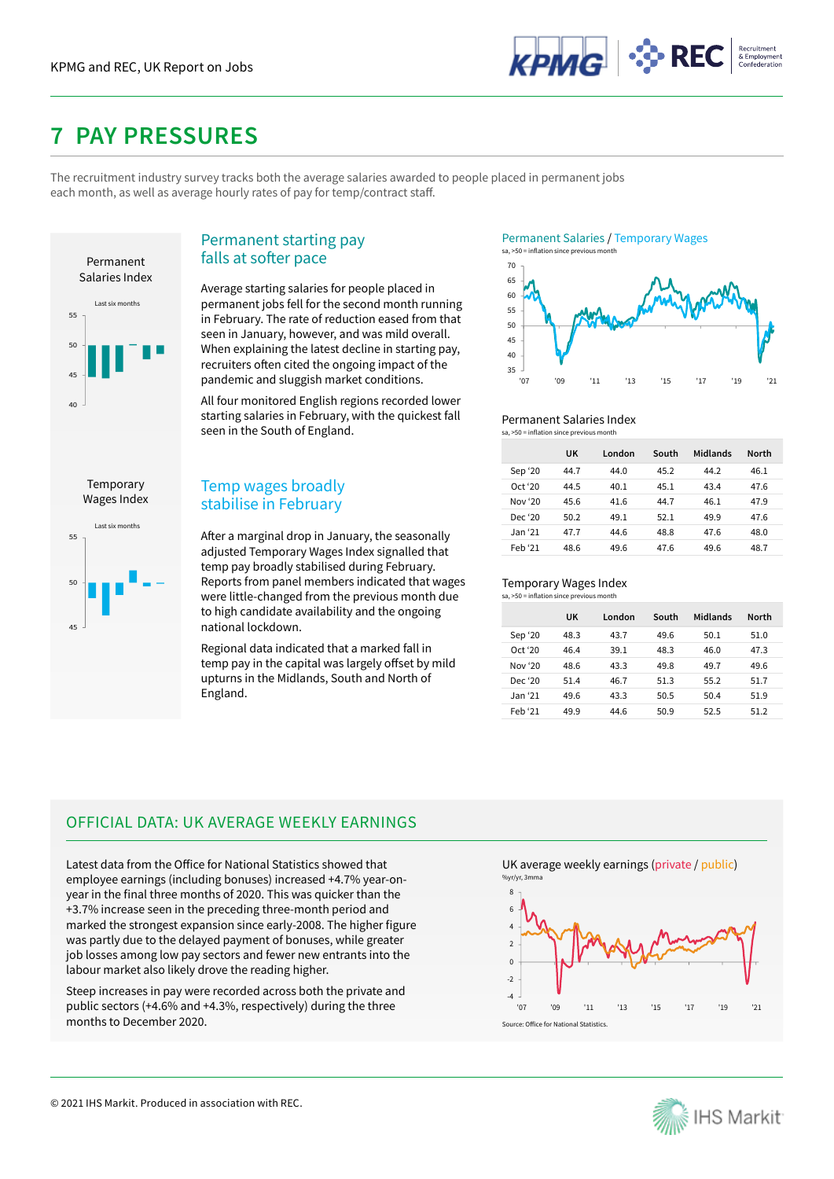

## **7 PAY PRESSURES**

The recruitment industry survey tracks both the average salaries awarded to people placed in permanent jobs each month, as well as average hourly rates of pay for temp/contract staff.



## Permanent starting pay falls at softer pace

Average starting salaries for people placed in permanent jobs fell for the second month running in February. The rate of reduction eased from that seen in January, however, and was mild overall. When explaining the latest decline in starting pay, recruiters often cited the ongoing impact of the pandemic and sluggish market conditions.

All four monitored English regions recorded lower starting salaries in February, with the quickest fall seen in the South of England.

After a marginal drop in January, the seasonally adjusted Temporary Wages Index signalled that temp pay broadly stabilised during February. Reports from panel members indicated that wages were little-changed from the previous month due to high candidate availability and the ongoing

Regional data indicated that a marked fall in temp pay in the capital was largely offset by mild upturns in the Midlands, South and North of





#### Permanent Salaries Index sa, >50 = inflation since previous month

|         | UK   | London | South | Midlands | <b>North</b> |  |
|---------|------|--------|-------|----------|--------------|--|
| Sep '20 | 44.7 | 44.0   | 45.2  | 44.2     | 46.1         |  |
| Oct '20 | 44.5 | 40.1   | 45.1  | 43.4     | 47.6         |  |
| Nov '20 | 45.6 | 41.6   | 44.7  | 46.1     | 47.9         |  |
| Dec '20 | 50.2 | 49.1   | 52.1  | 49.9     | 47.6         |  |
| Jan '21 | 47.7 | 44.6   | 48.8  | 47.6     | 48.0         |  |
| Feb '21 | 48.6 | 49.6   | 47.6  | 49.6     | 48.7         |  |

#### Temporary Wages Index  $s_2$ ,  $>50$  = inflation since p

|         | UK   | London | South | Midlands | <b>North</b> |
|---------|------|--------|-------|----------|--------------|
| Sep '20 | 48.3 | 43.7   | 49.6  | 50.1     | 51.0         |
| Oct '20 | 46.4 | 39.1   | 48.3  | 46.0     | 47.3         |
| Nov '20 | 48.6 | 43.3   | 49.8  | 49.7     | 49.6         |
| Dec '20 | 51.4 | 46.7   | 51.3  | 55.2     | 51.7         |
| Jan '21 | 49.6 | 43.3   | 50.5  | 50.4     | 51.9         |
| Feb '21 | 49.9 | 44.6   | 50.9  | 52.5     | 51.2         |

## **Temporary** Wages Index



# OFFICIAL DATA: UK AVERAGE WEEKLY EARNINGS

England.

national lockdown.

Temp wages broadly stabilise in February

Latest data from the Office for National Statistics showed that employee earnings (including bonuses) increased +4.7% year-onyear in the final three months of 2020. This was quicker than the +3.7% increase seen in the preceding three-month period and marked the strongest expansion since early-2008. The higher figure was partly due to the delayed payment of bonuses, while greater job losses among low pay sectors and fewer new entrants into the labour market also likely drove the reading higher.

Steep increases in pay were recorded across both the private and public sectors (+4.6% and +4.3%, respectively) during the three months to December 2020.

UK average weekly earnings (private / public) %yr/yr, 3mm



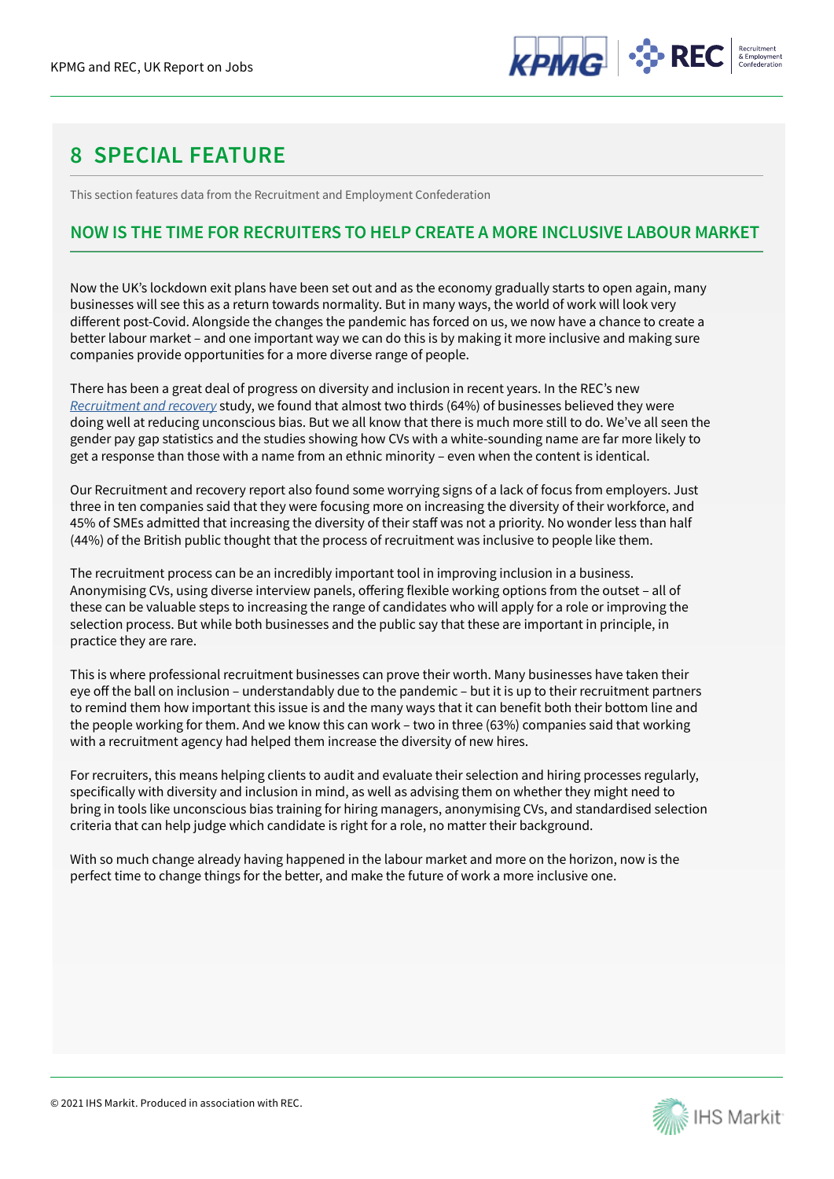

## **8 SPECIAL FEATURE**

This section features data from the Recruitment and Employment Confederation

## **NOW IS THE TIME FOR RECRUITERS TO HELP CREATE A MORE INCLUSIVE LABOUR MARKET**

Now the UK's lockdown exit plans have been set out and as the economy gradually starts to open again, many businesses will see this as a return towards normality. But in many ways, the world of work will look very different post-Covid. Alongside the changes the pandemic has forced on us, we now have a chance to create a better labour market – and one important way we can do this is by making it more inclusive and making sure companies provide opportunities for a more diverse range of people.

There has been a great deal of progress on diversity and inclusion in recent years. In the REC's new *Recruitment and recovery* study, we found that almost two thirds (64%) of businesses believed they were doing well at reducing unconscious bias. But we all know that there is much more still to do. We've all seen the gender pay gap statistics and the studies showing how CVs with a white-sounding name are far more likely to get a response than those with a name from an ethnic minority – even when the content is identical.

Our Recruitment and recovery report also found some worrying signs of a lack of focus from employers. Just three in ten companies said that they were focusing more on increasing the diversity of their workforce, and 45% of SMEs admitted that increasing the diversity of their staff was not a priority. No wonder less than half (44%) of the British public thought that the process of recruitment was inclusive to people like them.

The recruitment process can be an incredibly important tool in improving inclusion in a business. Anonymising CVs, using diverse interview panels, offering flexible working options from the outset – all of these can be valuable steps to increasing the range of candidates who will apply for a role or improving the selection process. But while both businesses and the public say that these are important in principle, in practice they are rare.

This is where professional recruitment businesses can prove their worth. Many businesses have taken their eye off the ball on inclusion – understandably due to the pandemic – but it is up to their recruitment partners to remind them how important this issue is and the many ways that it can benefit both their bottom line and the people working for them. And we know this can work – two in three (63%) companies said that working with a recruitment agency had helped them increase the diversity of new hires.

For recruiters, this means helping clients to audit and evaluate their selection and hiring processes regularly, specifically with diversity and inclusion in mind, as well as advising them on whether they might need to bring in tools like unconscious bias training for hiring managers, anonymising CVs, and standardised selection criteria that can help judge which candidate is right for a role, no matter their background.

With so much change already having happened in the labour market and more on the horizon, now is the perfect time to change things for the better, and make the future of work a more inclusive one.